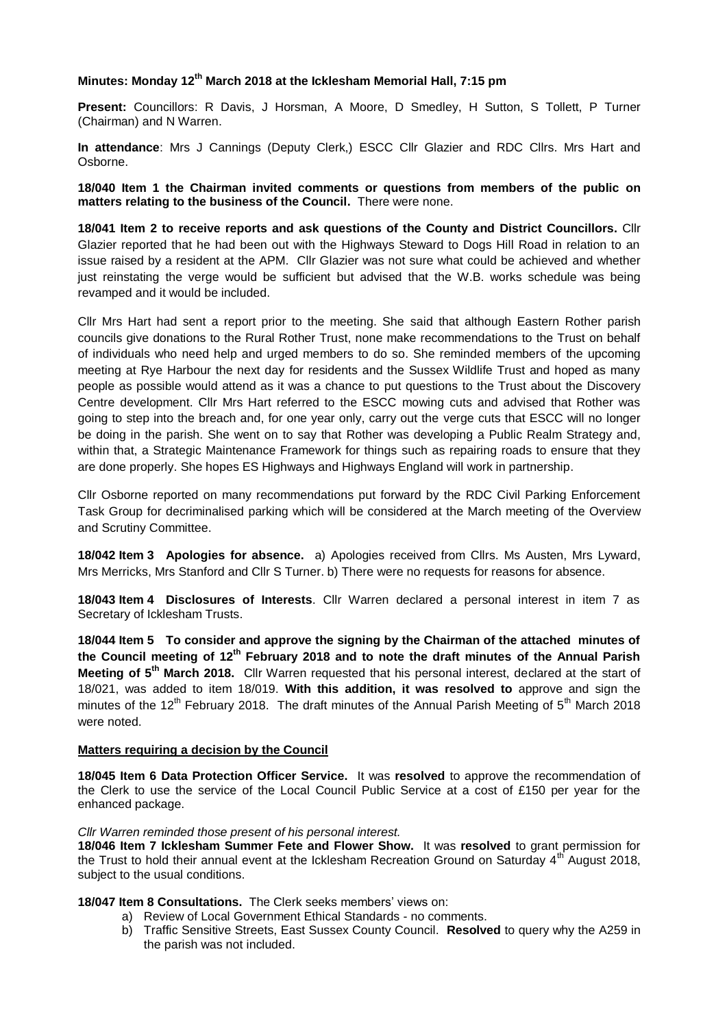## **Minutes: Monday 12th March 2018 at the Icklesham Memorial Hall, 7:15 pm**

**Present:** Councillors: R Davis, J Horsman, A Moore, D Smedley, H Sutton, S Tollett, P Turner (Chairman) and N Warren.

**In attendance**: Mrs J Cannings (Deputy Clerk,) ESCC Cllr Glazier and RDC Cllrs. Mrs Hart and Osborne.

**18/040 Item 1 the Chairman invited comments or questions from members of the public on matters relating to the business of the Council.** There were none.

**18/041 Item 2 to receive reports and ask questions of the County and District Councillors.** Cllr Glazier reported that he had been out with the Highways Steward to Dogs Hill Road in relation to an issue raised by a resident at the APM. Cllr Glazier was not sure what could be achieved and whether just reinstating the verge would be sufficient but advised that the W.B. works schedule was being revamped and it would be included.

Cllr Mrs Hart had sent a report prior to the meeting. She said that although Eastern Rother parish councils give donations to the Rural Rother Trust, none make recommendations to the Trust on behalf of individuals who need help and urged members to do so. She reminded members of the upcoming meeting at Rye Harbour the next day for residents and the Sussex Wildlife Trust and hoped as many people as possible would attend as it was a chance to put questions to the Trust about the Discovery Centre development. Cllr Mrs Hart referred to the ESCC mowing cuts and advised that Rother was going to step into the breach and, for one year only, carry out the verge cuts that ESCC will no longer be doing in the parish. She went on to say that Rother was developing a Public Realm Strategy and, within that, a Strategic Maintenance Framework for things such as repairing roads to ensure that they are done properly. She hopes ES Highways and Highways England will work in partnership.

Cllr Osborne reported on many recommendations put forward by the RDC Civil Parking Enforcement Task Group for decriminalised parking which will be considered at the March meeting of the Overview and Scrutiny Committee.

**18/042 Item 3 Apologies for absence.** a) Apologies received from Cllrs. Ms Austen, Mrs Lyward, Mrs Merricks, Mrs Stanford and Cllr S Turner. b) There were no requests for reasons for absence.

**18/043 Item 4 Disclosures of Interests**. Cllr Warren declared a personal interest in item 7 as Secretary of Icklesham Trusts.

**18/044 Item 5 To consider and approve the signing by the Chairman of the attached minutes of the Council meeting of 12th February 2018 and to note the draft minutes of the Annual Parish Meeting of 5th March 2018.** Cllr Warren requested that his personal interest, declared at the start of 18/021, was added to item 18/019. **With this addition, it was resolved to** approve and sign the minutes of the 12<sup>th</sup> February 2018. The draft minutes of the Annual Parish Meeting of 5<sup>th</sup> March 2018 were noted.

### **Matters requiring a decision by the Council**

**18/045 Item 6 Data Protection Officer Service.** It was **resolved** to approve the recommendation of the Clerk to use the service of the Local Council Public Service at a cost of £150 per year for the enhanced package.

### *Cllr Warren reminded those present of his personal interest.*

**18/046 Item 7 Icklesham Summer Fete and Flower Show.** It was **resolved** to grant permission for the Trust to hold their annual event at the Icklesham Recreation Ground on Saturday 4<sup>th</sup> August 2018, subject to the usual conditions.

# **18/047 Item 8 Consultations.** The Clerk seeks members' views on:

- a) Review of Local Government Ethical Standards no comments.
	- b) Traffic Sensitive Streets, East Sussex County Council. **Resolved** to query why the A259 in the parish was not included.